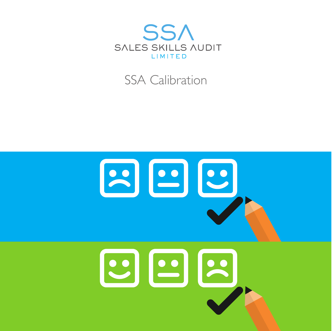

### SSA Calibration

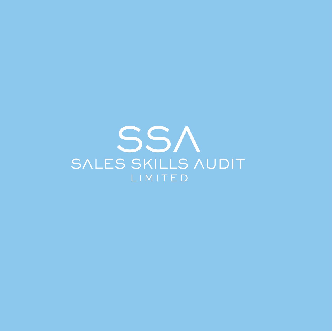SSA SALES SKILLS AUDIT LIMITED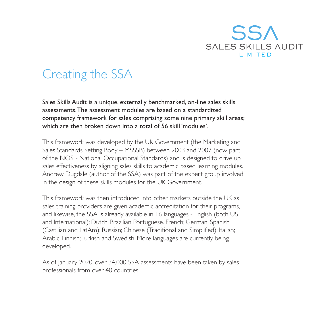

### Creating the SSA

Sales Skills Audit is a unique, externally benchmarked, on-line sales skills assessments.The assessment modules are based on a standardized competency framework for sales comprising some nine primary skill areas; which are then broken down into a total of 56 skill 'modules'.

This framework was developed by the UK Government (the Marketing and Sales Standards Setting Body – MSSSB) between 2003 and 2007 (now part of the NOS - National Occupational Standards) and is designed to drive up sales effectiveness by aligning sales skills to academic based learning modules. Andrew Dugdale (author of the SSA) was part of the expert group involved in the design of these skills modules for the UK Government.

This framework was then introduced into other markets outside the UK as sales training providers are given academic accreditation for their programs, and likewise, the SSA is already available in 16 languages - English (both US and International); Dutch; Brazilian Portuguese. French; German; Spanish (Castilian and LatAm); Russian; Chinese (Traditional and Simplified); Italian; Arabic; Finnish;Turkish and Swedish. More languages are currently being developed.

As of January 2020, over 34,000 SSA assessments have been taken by sales professionals from over 40 countries.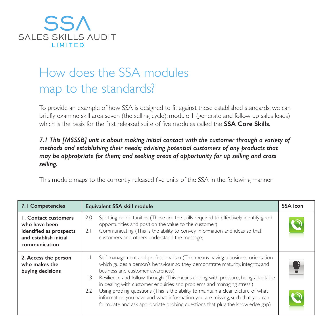

## How does the SSA modules map to the standards?

To provide an example of how SSA is designed to fit against these established standards, we can briefly examine skill area seven (the selling cycle); module 1 (generate and follow up sales leads) which is the basis for the first released suite of five modules called the **SSA Core Skills**.

#### *7.1 This [MSSSB] unit is about making initial contact with the customer through a variety of methods and establishing their needs; advising potential customers of any products that may be appropriate for them; and seeking areas of opportunity for up selling and cross selling.*

This module maps to the currently released five units of the SSA in the following manner

| 7.1 Competencies                                                                                                  | Equivalent SSA skill module                                                                                                                                                                                                                                                                                                                                                                                                                                                                                                                                                                                                                               | <b>SSA</b> icon |
|-------------------------------------------------------------------------------------------------------------------|-----------------------------------------------------------------------------------------------------------------------------------------------------------------------------------------------------------------------------------------------------------------------------------------------------------------------------------------------------------------------------------------------------------------------------------------------------------------------------------------------------------------------------------------------------------------------------------------------------------------------------------------------------------|-----------------|
| <b>1. Contact customers</b><br>who have been<br>identified as prospects<br>and establish initial<br>communication | Spotting opportunities (These are the skills required to effectively identify good<br>2.0<br>opportunities and position the value to the customer)<br>Communicating (This is the ability to convey information and ideas so that<br>2.1<br>customers and others understand the message)                                                                                                                                                                                                                                                                                                                                                                   |                 |
| 2. Access the person<br>who makes the<br>buying decisions                                                         | Self-management and professionalism (This means having a business orientation<br>$\perp$<br>which guides a person's behaviour so they demonstrate maturity, integrity, and<br>business and customer awareness)<br>Resilience and follow-through (This means coping with pressure, being adaptable<br>$\overline{1.3}$<br>in dealing with customer enquiries and problems and managing stress.)<br>Using probing questions (This is the ability to maintain a clear picture of what<br>2.2<br>information you have and what information you are missing, such that you can<br>formulate and ask appropriate probing questions that plug the knowledge gap) | Y               |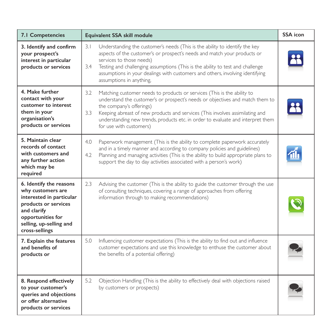| 7.1 Competencies                                                                                                                                                                  | Equivalent SSA skill module                                                                                                                                                                                                                                                                                                                                                                      | <b>SSA</b> icon |
|-----------------------------------------------------------------------------------------------------------------------------------------------------------------------------------|--------------------------------------------------------------------------------------------------------------------------------------------------------------------------------------------------------------------------------------------------------------------------------------------------------------------------------------------------------------------------------------------------|-----------------|
| 3. Identify and confirm<br>your prospect's<br>interest in particular<br>products or services                                                                                      | 3.1<br>Understanding the customer's needs (This is the ability to identify the key<br>aspects of the customer's or prospect's needs and match your products or<br>services to those needs)<br>Testing and challenging assumptions (This is the ability to test and challenge<br>3.4<br>assumptions in your dealings with customers and others, involving identifying<br>assumptions in anything, |                 |
| 4. Make further<br>contact with your<br>customer to interest<br>them in your<br>organisation's<br>products or services                                                            | 3.2<br>Matching customer needs to products or services (This is the ability to<br>understand the customer's or prospect's needs or objectives and match them to<br>the company's offerings)<br>3.3<br>Keeping abreast of new products and services (This involves assimilating and<br>understanding new trends, products etc. in order to evaluate and interpret them<br>for use with customers) |                 |
| 5. Maintain clear<br>records of contact<br>with customers and<br>any further action<br>which may be<br>required                                                                   | 4.0<br>Paperwork management (This is the ability to complete paperwork accurately<br>and in a timely manner and according to company policies and guidelines)<br>Planning and managing activities (This is the ability to build appropriate plans to<br>4.2<br>support the day to day activities associated with a person's work)                                                                |                 |
| 6. Identify the reasons<br>why customers are<br>interested in particular<br>products or services<br>and clarify<br>opportunities for<br>selling, up-selling and<br>cross-sellings | 2.3<br>Advising the customer (This is the ability to guide the customer through the use<br>of consulting techniques, covering a range of approaches from offering<br>information through to making recommendations)                                                                                                                                                                              |                 |
| 7. Explain the features<br>and benefits of<br>products or                                                                                                                         | 5.0<br>Influencing customer expectations (This is the ability to find out and influence<br>customer expectations and use this knowledge to enthuse the customer about<br>the benefits of a potential offering)                                                                                                                                                                                   |                 |
| 8. Respond effectively<br>to your customer's<br>queries and objections<br>or offer alternative<br>products or services                                                            | 5.2<br>Objection Handling (This is the ability to effectively deal with objections raised<br>by customers or prospects)                                                                                                                                                                                                                                                                          |                 |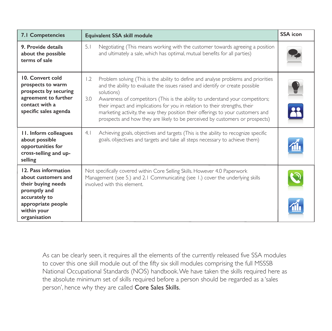| 7.1 Competencies                                                                                                                                           | Equivalent SSA skill module                                                                                                                                                                                                                                                                                                                                                                                                                                                                                                                                                                                                                  | <b>SSA</b> icon |
|------------------------------------------------------------------------------------------------------------------------------------------------------------|----------------------------------------------------------------------------------------------------------------------------------------------------------------------------------------------------------------------------------------------------------------------------------------------------------------------------------------------------------------------------------------------------------------------------------------------------------------------------------------------------------------------------------------------------------------------------------------------------------------------------------------------|-----------------|
| 9. Provide details<br>about the possible<br>terms of sale                                                                                                  | 5.1<br>Negotiating (This means working with the customer towards agreeing a position<br>and ultimately a sale, which has optimal, mutual benefits for all parties)                                                                                                                                                                                                                                                                                                                                                                                                                                                                           |                 |
| 10. Convert cold<br>prospects to warm<br>prospects by securing<br>agreement to further<br>contact with a<br>specific sales agenda<br>II. Inform colleagues | Problem solving (This is the ability to define and analyse problems and priorities<br>$\overline{1.2}$<br>and the ability to evaluate the issues raised and identify or create possible<br>solutions)<br>3.0<br>Awareness of competitors (This is the ability to understand your competitors;<br>their impact and implications for you in relation to their strengths, their<br>marketing activity, the way they position their offerings to your customers and<br>prospects and how they are likely to be perceived by customers or prospects)<br>Achieving goals, objectives and targets (This is the ability to recognize specific<br>4.1 |                 |
| about possible<br>opportunities for<br>cross-selling and up-<br>selling                                                                                    | goals, objectives and targets and take all steps necessary to achieve them)                                                                                                                                                                                                                                                                                                                                                                                                                                                                                                                                                                  |                 |
| 12. Pass information<br>about customers and<br>their buying needs<br>promptly and<br>accurately to<br>appropriate people<br>within your<br>organisation    | Not specifically covered within Core Selling Skills. However 4.0 Paperwork<br>Management (see 5.) and 2.1 Communicating (see 1.) cover the underlying skills<br>involved with this element.                                                                                                                                                                                                                                                                                                                                                                                                                                                  |                 |

As can be clearly seen, it requires all the elements of the currently released five SSA modules to cover this one skill module out of the fifty six skill modules comprising the full MSSSB National Occupational Standards (NOS) handbook.We have taken the skills required here as the absolute minimum set of skills required before a person should be regarded as a 'sales person', hence why they are called Core Sales Skills.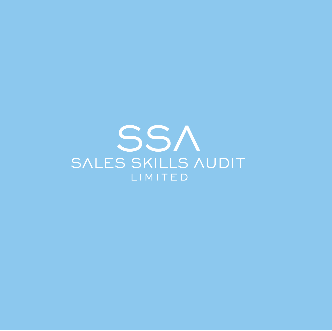# SSA SALES SKILLS AUDIT LIMITED